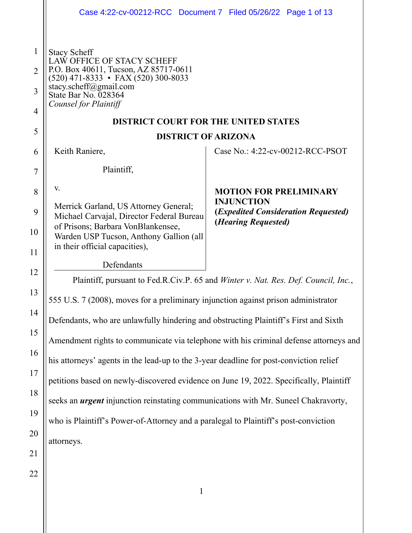|                | Case 4:22-cv-00212-RCC Document 7 Filed 05/26/22 Page 1 of 13                                                                     |                                                                              |  |
|----------------|-----------------------------------------------------------------------------------------------------------------------------------|------------------------------------------------------------------------------|--|
|                |                                                                                                                                   |                                                                              |  |
| $\mathbf{1}$   | <b>Stacy Scheff</b><br>LAW OFFICE OF STACY SCHEFF<br>P.O. Box 40611, Tucson, AZ 85717-0611<br>(520) 471-8333 • FAX (520) 300-8033 |                                                                              |  |
| $\overline{2}$ |                                                                                                                                   |                                                                              |  |
| 3              | stacy.scheff@gmail.com<br>State Bar No. 028364                                                                                    |                                                                              |  |
| 4              | Counsel for Plaintiff                                                                                                             |                                                                              |  |
| 5              | <b>DISTRICT COURT FOR THE UNITED STATES</b>                                                                                       |                                                                              |  |
|                |                                                                                                                                   | <b>DISTRICT OF ARIZONA</b>                                                   |  |
| 6              | Keith Raniere,                                                                                                                    | Case No.: 4:22-cv-00212-RCC-PSOT                                             |  |
| 7              | Plaintiff,                                                                                                                        |                                                                              |  |
| 8              | V.                                                                                                                                | <b>MOTION FOR PRELIMINARY</b><br><b>INJUNCTION</b>                           |  |
| 9              | Merrick Garland, US Attorney General;<br>Michael Carvajal, Director Federal Bureau                                                | ( <i>Expedited Consideration Requested</i> )<br>( <i>Hearing Requested</i> ) |  |
| 10             | of Prisons; Barbara VonBlankensee,<br>Warden USP Tucson, Anthony Gallion (all                                                     |                                                                              |  |
| 11             | in their official capacities),                                                                                                    |                                                                              |  |
| 12             | Defendants                                                                                                                        |                                                                              |  |
|                | Plaintiff, pursuant to Fed.R.Civ.P. 65 and <i>Winter v. Nat. Res. Def. Council, Inc.</i> ,                                        |                                                                              |  |
| 13             | 555 U.S. 7 (2008), moves for a preliminary injunction against prison administrator                                                |                                                                              |  |
| 14             | Defendants, who are unlawfully hindering and obstructing Plaintiff's First and Sixth                                              |                                                                              |  |
| 15             | Amendment rights to communicate via telephone with his criminal defense attorneys and                                             |                                                                              |  |
| 16             | his attorneys' agents in the lead-up to the 3-year deadline for post-conviction relief                                            |                                                                              |  |
| 17             | petitions based on newly-discovered evidence on June 19, 2022. Specifically, Plaintiff                                            |                                                                              |  |
| 18             | seeks an <i>urgent</i> injunction reinstating communications with Mr. Suneel Chakravorty,                                         |                                                                              |  |
| 19             | who is Plaintiff's Power-of-Attorney and a paralegal to Plaintiff's post-conviction                                               |                                                                              |  |
| 20             | attorneys.                                                                                                                        |                                                                              |  |
| 21             |                                                                                                                                   |                                                                              |  |
| 22             |                                                                                                                                   |                                                                              |  |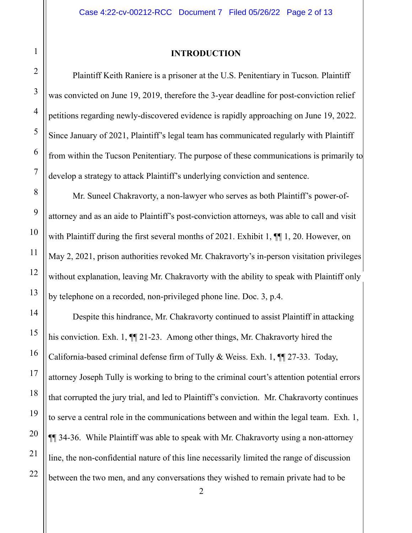Plaintiff Keith Raniere is a prisoner at the U.S. Penitentiary in Tucson. Plaintiff was convicted on June 19, 2019, therefore the 3-year deadline for post-conviction relief petitions regarding newly-discovered evidence is rapidly approaching on June 19, 2022. Since January of 2021, Plaintiff's legal team has communicated regularly with Plaintiff from within the Tucson Penitentiary. The purpose of these communications is primarily to develop a strategy to attack Plaintiff's underlying conviction and sentence.

Mr. Suneel Chakravorty, a non-lawyer who serves as both Plaintiff's power-ofattorney and as an aide to Plaintiff's post-conviction attorneys, was able to call and visit with Plaintiff during the first several months of 2021. Exhibit 1,  $\P$ [1, 20. However, on May 2, 2021, prison authorities revoked Mr. Chakravorty's in-person visitation privileges without explanation, leaving Mr. Chakravorty with the ability to speak with Plaintiff only by telephone on a recorded, non-privileged phone line. Doc. 3, p.4.

Despite this hindrance, Mr. Chakravorty continued to assist Plaintiff in attacking his conviction. Exh. 1,  $\P$  21-23. Among other things, Mr. Chakravorty hired the California-based criminal defense firm of Tully & Weiss. Exh. 1, ¶¶ 27-33. Today, attorney Joseph Tully is working to bring to the criminal court's attention potential errors that corrupted the jury trial, and led to Plaintiff's conviction. Mr. Chakravorty continues to serve a central role in the communications between and within the legal team. Exh. 1, ¶¶ 34-36. While Plaintiff was able to speak with Mr. Chakravorty using a non-attorney line, the non-confidential nature of this line necessarily limited the range of discussion between the two men, and any conversations they wished to remain private had to be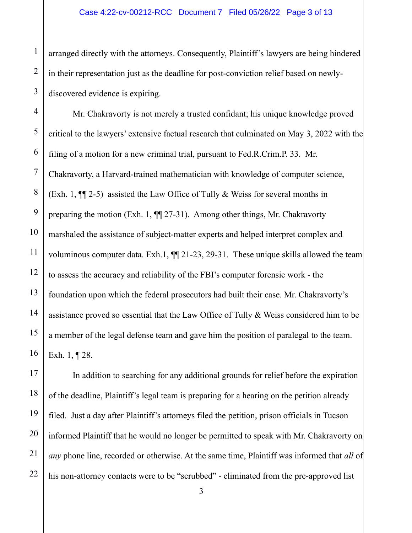arranged directly with the attorneys. Consequently, Plaintiff's lawyers are being hindered in their representation just as the deadline for post-conviction relief based on newlydiscovered evidence is expiring.

Mr. Chakravorty is not merely a trusted confidant; his unique knowledge proved critical to the lawyers' extensive factual research that culminated on May 3, 2022 with the filing of a motion for a new criminal trial, pursuant to Fed.R.Crim.P. 33. Mr. Chakravorty, a Harvard-trained mathematician with knowledge of computer science, (Exh. 1,  $\P$ [2-5) assisted the Law Office of Tully & Weiss for several months in preparing the motion (Exh. 1, ¶¶ 27-31). Among other things, Mr. Chakravorty marshaled the assistance of subject-matter experts and helped interpret complex and voluminous computer data. Exh.1,  $\P$  21-23, 29-31. These unique skills allowed the team to assess the accuracy and reliability of the FBI's computer forensic work - the foundation upon which the federal prosecutors had built their case. Mr. Chakravorty's assistance proved so essential that the Law Office of Tully & Weiss considered him to be a member of the legal defense team and gave him the position of paralegal to the team. Exh. 1, ¶ 28.

In addition to searching for any additional grounds for relief before the expiration of the deadline, Plaintiff's legal team is preparing for a hearing on the petition already filed. Just a day after Plaintiff's attorneys filed the petition, prison officials in Tucson informed Plaintiff that he would no longer be permitted to speak with Mr. Chakravorty on *any* phone line, recorded or otherwise. At the same time, Plaintiff was informed that *all* of his non-attorney contacts were to be "scrubbed" - eliminated from the pre-approved list

3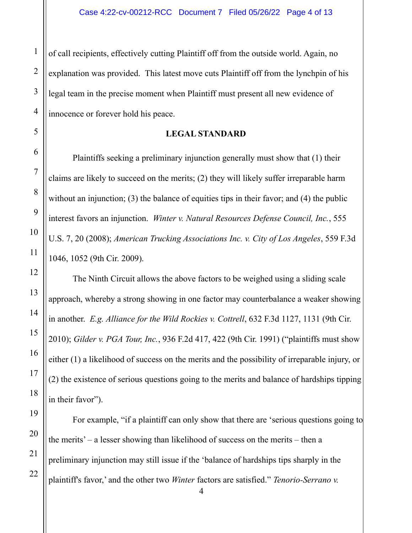of call recipients, effectively cutting Plaintiff off from the outside world. Again, no explanation was provided. This latest move cuts Plaintiff off from the lynchpin of his legal team in the precise moment when Plaintiff must present all new evidence of innocence or forever hold his peace.

## **LEGAL STANDARD**

Plaintiffs seeking a preliminary injunction generally must show that (1) their claims are likely to succeed on the merits; (2) they will likely suffer irreparable harm without an injunction; (3) the balance of equities tips in their favor; and (4) the public interest favors an injunction. *Winter v. Natural Resources Defense Council, Inc.*, 555 U.S. 7, 20 (2008); *American Trucking Associations Inc. v. City of Los Angeles*, 559 F.3d 1046, 1052 (9th Cir. 2009).

The Ninth Circuit allows the above factors to be weighed using a sliding scale approach, whereby a strong showing in one factor may counterbalance a weaker showing in another. *E.g. Alliance for the Wild Rockies v. Cottrell*, 632 F.3d 1127, 1131 (9th Cir. 2010); *Gilder v. PGA Tour, Inc.*, 936 F.2d 417, 422 (9th Cir. 1991) ("plaintiffs must show either (1) a likelihood of success on the merits and the possibility of irreparable injury, or (2) the existence of serious questions going to the merits and balance of hardships tipping in their favor").

For example, "if a plaintiff can only show that there are 'serious questions going to the merits' – a lesser showing than likelihood of success on the merits – then a preliminary injunction may still issue if the 'balance of hardships tips sharply in the plaintiff's favor,' and the other two *Winter* factors are satisfied." *Tenorio-Serrano v.* 

1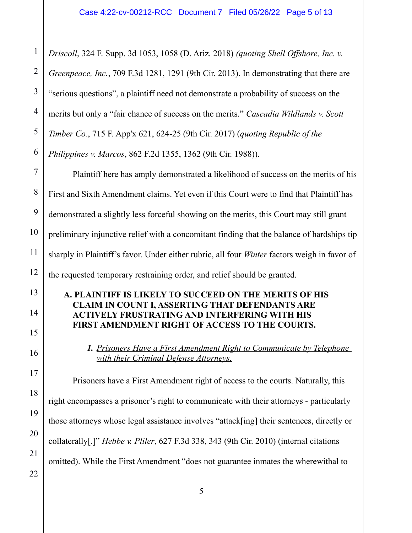*Driscoll*, 324 F. Supp. 3d 1053, 1058 (D. Ariz. 2018) *(quoting Shell Offshore, Inc. v. Greenpeace, Inc.*, 709 F.3d 1281, 1291 (9th Cir. 2013). In demonstrating that there are "serious questions", a plaintiff need not demonstrate a probability of success on the merits but only a "fair chance of success on the merits." *Cascadia Wildlands v. Scott Timber Co.*, 715 F. App'x 621, 624-25 (9th Cir. 2017) (*quoting Republic of the Philippines v. Marcos*, 862 F.2d 1355, 1362 (9th Cir. 1988)). Plaintiff here has amply demonstrated a likelihood of success on the merits of his First and Sixth Amendment claims. Yet even if this Court were to find that Plaintiff has demonstrated a slightly less forceful showing on the merits, this Court may still grant preliminary injunctive relief with a concomitant finding that the balance of hardships tip sharply in Plaintiff's favor. Under either rubric, all four *Winter* factors weigh in favor of the requested temporary restraining order, and relief should be granted. **A. PLAINTIFF IS LIKELY TO SUCCEED ON THE MERITS OF HIS CLAIM IN COUNT I, ASSERTING THAT DEFENDANTS ARE ACTIVELY FRUSTRATING AND INTERFERING WITH HIS FIRST AMENDMENT RIGHT OF ACCESS TO THE COURTS.** *1. Prisoners Have a First Amendment Right to Communicate by Telephone with their Criminal Defense Attorneys.* Prisoners have a First Amendment right of access to the courts. Naturally, this right encompasses a prisoner's right to communicate with their attorneys - particularly those attorneys whose legal assistance involves "attack[ing] their sentences, directly or collaterally[.]" *Hebbe v. Pliler*, 627 F.3d 338, 343 (9th Cir. 2010) (internal citations omitted). While the First Amendment "does not guarantee inmates the wherewithal to 1 2 3 4 5 6 7 8 9 10 11 12 13 14 15 16 17 18 19 20 21 22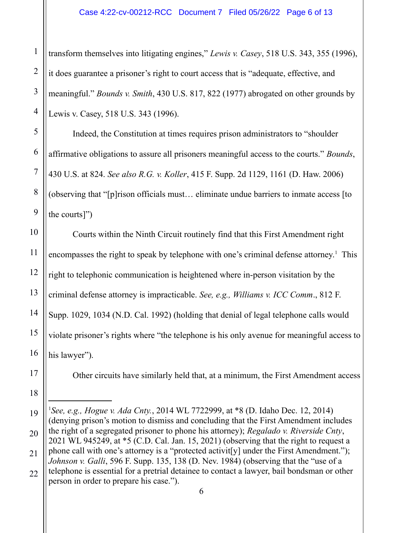transform themselves into litigating engines," *Lewis v. Casey*, 518 U.S. 343, 355 (1996), it does guarantee a prisoner's right to court access that is "adequate, effective, and meaningful." *Bounds v. Smith*, 430 U.S. 817, 822 (1977) abrogated on other grounds by Lewis v. Casey, 518 U.S. 343 (1996).

Indeed, the Constitution at times requires prison administrators to "shoulder affirmative obligations to assure all prisoners meaningful access to the courts." *Bounds*, 430 U.S. at 824. *See also R.G. v. Koller*, 415 F. Supp. 2d 1129, 1161 (D. Haw. 2006) (observing that "[p]rison officials must… eliminate undue barriers to inmate access [to the courts]")

Courts within the Ninth Circuit routinely find that this First Amendment right encompasses the right to speak by telephone with one's criminal defense attorney.<sup>[1](#page-5-0)</sup> This right to telephonic communication is heightened where in-person visitation by the criminal defense attorney is impracticable. *See, e.g., Williams v. ICC Comm*., 812 F. Supp. 1029, 1034 (N.D. Cal. 1992) (holding that denial of legal telephone calls would violate prisoner's rights where "the telephone is his only avenue for meaningful access to his lawyer").

Other circuits have similarly held that, at a minimum, the First Amendment access

<span id="page-5-0"></span><sup>1</sup> *See, e.g., Hogue v. Ada Cnty.*, 2014 WL 7722999, at \*8 (D. Idaho Dec. 12, 2014) (denying prison's motion to dismiss and concluding that the First Amendment includes the right of a segregated prisoner to phone his attorney); *Regalado v. Riverside Cnty*, 2021 WL 945249, at \*5 (C.D. Cal. Jan. 15, 2021) (observing that the right to request a phone call with one's attorney is a "protected activit[y] under the First Amendment."); *Johnson v. Galli*, 596 F. Supp. 135, 138 (D. Nev. 1984) (observing that the "use of a telephone is essential for a pretrial detainee to contact a lawyer, bail bondsman or other 19 20 21

person in order to prepare his case.").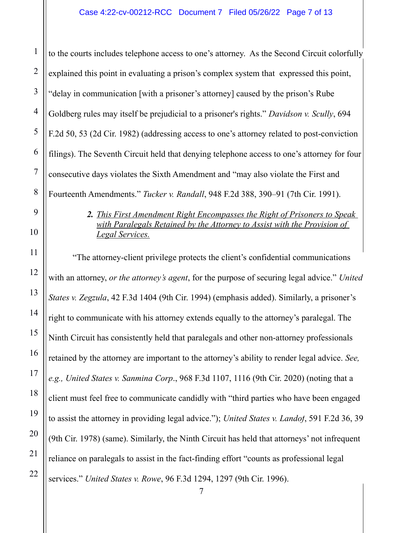to the courts includes telephone access to one's attorney. As the Second Circuit colorfully explained this point in evaluating a prison's complex system that expressed this point, "delay in communication [with a prisoner's attorney] caused by the prison's Rube Goldberg rules may itself be prejudicial to a prisoner's rights." *Davidson v. Scully*, 694 F.2d 50, 53 (2d Cir. 1982) (addressing access to one's attorney related to post-conviction filings). The Seventh Circuit held that denying telephone access to one's attorney for four consecutive days violates the Sixth Amendment and "may also violate the First and Fourteenth Amendments." *Tucker v. Randall*, 948 F.2d 388, 390–91 (7th Cir. 1991). 1

> *2. This First Amendment Right Encompasses the Right of Prisoners to Speak with Paralegals Retained by the Attorney to Assist with the Provision of Legal Services.*

"The attorney-client privilege protects the client's confidential communications with an attorney, *or the attorney's agent*, for the purpose of securing legal advice." *United States v. Zegzula*, 42 F.3d 1404 (9th Cir. 1994) (emphasis added). Similarly, a prisoner's right to communicate with his attorney extends equally to the attorney's paralegal. The Ninth Circuit has consistently held that paralegals and other non-attorney professionals retained by the attorney are important to the attorney's ability to render legal advice. *See, e.g., United States v. Sanmina Corp*., 968 F.3d 1107, 1116 (9th Cir. 2020) (noting that a client must feel free to communicate candidly with "third parties who have been engaged to assist the attorney in providing legal advice."); *United States v. Landof*, 591 F.2d 36, 39 (9th Cir. 1978) (same). Similarly, the Ninth Circuit has held that attorneys' not infrequent reliance on paralegals to assist in the fact-finding effort "counts as professional legal services." *United States v. Rowe*, 96 F.3d 1294, 1297 (9th Cir. 1996).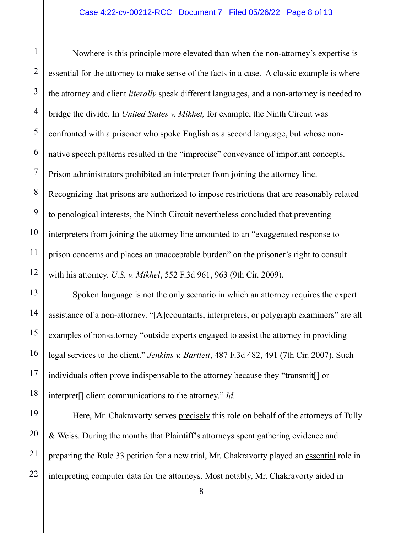1

11

13

14

15

16

17

18

21

Nowhere is this principle more elevated than when the non-attorney's expertise is essential for the attorney to make sense of the facts in a case. A classic example is where the attorney and client *literally* speak different languages, and a non-attorney is needed to bridge the divide. In *United States v. Mikhel,* for example, the Ninth Circuit was confronted with a prisoner who spoke English as a second language, but whose nonnative speech patterns resulted in the "imprecise" conveyance of important concepts. Prison administrators prohibited an interpreter from joining the attorney line. Recognizing that prisons are authorized to impose restrictions that are reasonably related to penological interests, the Ninth Circuit nevertheless concluded that preventing interpreters from joining the attorney line amounted to an "exaggerated response to prison concerns and places an unacceptable burden" on the prisoner's right to consult with his attorney. *U.S. v. Mikhel*, 552 F.3d 961, 963 (9th Cir. 2009). 2 3 4 5 6 7 8 9 10 12

Spoken language is not the only scenario in which an attorney requires the expert assistance of a non-attorney. "[A]ccountants, interpreters, or polygraph examiners" are all examples of non-attorney "outside experts engaged to assist the attorney in providing legal services to the client." *Jenkins v. Bartlett*, 487 F.3d 482, 491 (7th Cir. 2007). Such individuals often prove indispensable to the attorney because they "transmit[] or interpret[] client communications to the attorney." *Id.* 

Here, Mr. Chakravorty serves precisely this role on behalf of the attorneys of Tully & Weiss. During the months that Plaintiff's attorneys spent gathering evidence and preparing the Rule 33 petition for a new trial, Mr. Chakravorty played an essential role in interpreting computer data for the attorneys. Most notably, Mr. Chakravorty aided in 19 20 22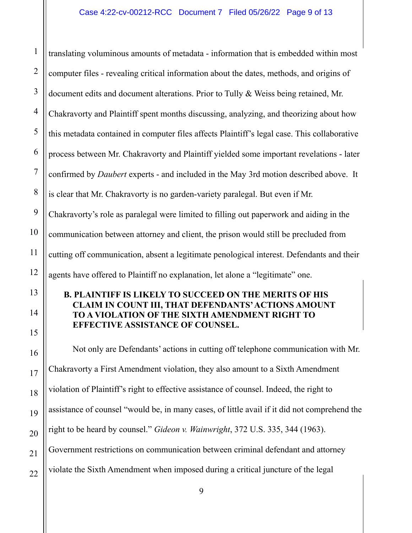translating voluminous amounts of metadata - information that is embedded within most computer files - revealing critical information about the dates, methods, and origins of document edits and document alterations. Prior to Tully & Weiss being retained, Mr. Chakravorty and Plaintiff spent months discussing, analyzing, and theorizing about how this metadata contained in computer files affects Plaintiff's legal case. This collaborative process between Mr. Chakravorty and Plaintiff yielded some important revelations - later confirmed by *Daubert* experts - and included in the May 3rd motion described above. It is clear that Mr. Chakravorty is no garden-variety paralegal. But even if Mr. Chakravorty's role as paralegal were limited to filling out paperwork and aiding in the communication between attorney and client, the prison would still be precluded from cutting off communication, absent a legitimate penological interest. Defendants and their agents have offered to Plaintiff no explanation, let alone a "legitimate" one. **B. PLAINTIFF IS LIKELY TO SUCCEED ON THE MERITS OF HIS CLAIM IN COUNT III, THAT DEFENDANTS' ACTIONS AMOUNT TO A VIOLATION OF THE SIXTH AMENDMENT RIGHT TO EFFECTIVE ASSISTANCE OF COUNSEL.** Not only are Defendants' actions in cutting off telephone communication with Mr. Chakravorty a First Amendment violation, they also amount to a Sixth Amendment violation of Plaintiff's right to effective assistance of counsel. Indeed, the right to assistance of counsel "would be, in many cases, of little avail if it did not comprehend the right to be heard by counsel." *Gideon v. Wainwright*, 372 U.S. 335, 344 (1963). Government restrictions on communication between criminal defendant and attorney violate the Sixth Amendment when imposed during a critical juncture of the legal 1 2 3 4 5 6 7 8 9 10 11 12 13 14 15 16 17 18 19 20 21 22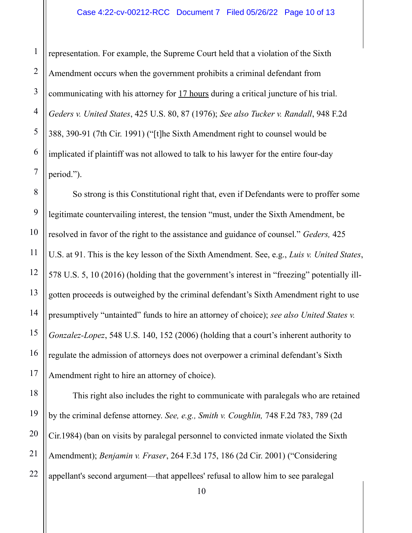representation. For example, the Supreme Court held that a violation of the Sixth Amendment occurs when the government prohibits a criminal defendant from communicating with his attorney for 17 hours during a critical juncture of his trial. *Geders v. United States*, 425 U.S. 80, 87 (1976); *See also Tucker v. Randall*, 948 F.2d 388, 390-91 (7th Cir. 1991) ("[t]he Sixth Amendment right to counsel would be implicated if plaintiff was not allowed to talk to his lawyer for the entire four-day period."). 1 2 3 4

So strong is this Constitutional right that, even if Defendants were to proffer some legitimate countervailing interest, the tension "must, under the Sixth Amendment, be resolved in favor of the right to the assistance and guidance of counsel." *Geders,* 425 U.S. at 91. This is the key lesson of the Sixth Amendment. See, e.g., *Luis v. United States*, 578 U.S. 5, 10 (2016) (holding that the government's interest in "freezing" potentially illgotten proceeds is outweighed by the criminal defendant's Sixth Amendment right to use presumptively "untainted" funds to hire an attorney of choice); *see also United States v. Gonzalez-Lopez*, 548 U.S. 140, 152 (2006) (holding that a court's inherent authority to regulate the admission of attorneys does not overpower a criminal defendant's Sixth Amendment right to hire an attorney of choice).

This right also includes the right to communicate with paralegals who are retained by the criminal defense attorney. *See, e.g., Smith v. Coughlin,* 748 F.2d 783, 789 (2d Cir.1984) (ban on visits by paralegal personnel to convicted inmate violated the Sixth Amendment); *Benjamin v. Fraser*, 264 F.3d 175, 186 (2d Cir. 2001) ("Considering appellant's second argument—that appellees' refusal to allow him to see paralegal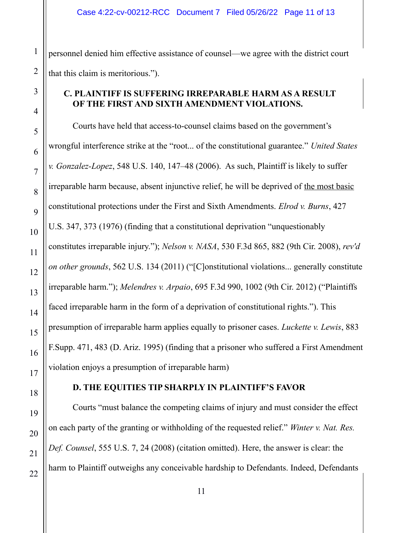personnel denied him effective assistance of counsel—we agree with the district court that this claim is meritorious.").

## **C. PLAINTIFF IS SUFFERING IRREPARABLE HARM AS A RESULT OF THE FIRST AND SIXTH AMENDMENT VIOLATIONS.**

Courts have held that access-to-counsel claims based on the government's wrongful interference strike at the "root... of the constitutional guarantee." *United States v. Gonzalez-Lopez*, 548 U.S. 140, 147–48 (2006). As such, Plaintiff is likely to suffer irreparable harm because, absent injunctive relief, he will be deprived of the most basic constitutional protections under the First and Sixth Amendments. *Elrod v. Burns*, 427 U.S. 347, 373 (1976) (finding that a constitutional deprivation "unquestionably constitutes irreparable injury."); *Nelson v. NASA*, 530 F.3d 865, 882 (9th Cir. 2008), *rev'd on other grounds*, 562 U.S. 134 (2011) ("[C]onstitutional violations... generally constitute irreparable harm."); *Melendres v. Arpaio*, 695 F.3d 990, 1002 (9th Cir. 2012) ("Plaintiffs faced irreparable harm in the form of a deprivation of constitutional rights."). This presumption of irreparable harm applies equally to prisoner cases. *Luckette v. Lewis*, 883 F.Supp. 471, 483 (D. Ariz. 1995) (finding that a prisoner who suffered a First Amendment violation enjoys a presumption of irreparable harm)

## **D. THE EQUITIES TIP SHARPLY IN PLAINTIFF'S FAVOR**

Courts "must balance the competing claims of injury and must consider the effect on each party of the granting or withholding of the requested relief." *Winter v. Nat. Res. Def. Counsel*, 555 U.S. 7, 24 (2008) (citation omitted). Here, the answer is clear: the harm to Plaintiff outweighs any conceivable hardship to Defendants. Indeed, Defendants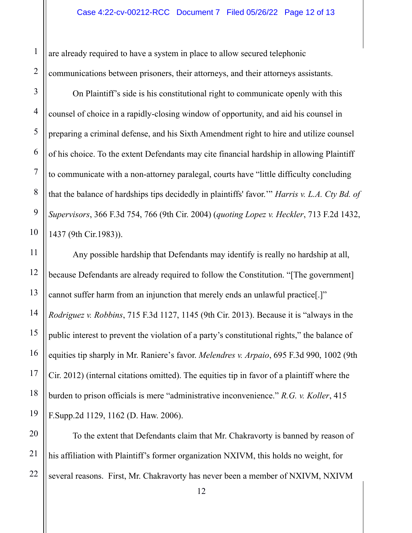are already required to have a system in place to allow secured telephonic communications between prisoners, their attorneys, and their attorneys assistants.

On Plaintiff's side is his constitutional right to communicate openly with this counsel of choice in a rapidly-closing window of opportunity, and aid his counsel in preparing a criminal defense, and his Sixth Amendment right to hire and utilize counsel of his choice. To the extent Defendants may cite financial hardship in allowing Plaintiff to communicate with a non-attorney paralegal, courts have "little difficulty concluding that the balance of hardships tips decidedly in plaintiffs' favor.'" *Harris v. L.A. Cty Bd. of Supervisors*, 366 F.3d 754, 766 (9th Cir. 2004) (*quoting Lopez v. Heckler*, 713 F.2d 1432, 1437 (9th Cir.1983)).

Any possible hardship that Defendants may identify is really no hardship at all, because Defendants are already required to follow the Constitution. "[The government] cannot suffer harm from an injunction that merely ends an unlawful practice[.]" *Rodriguez v. Robbins*, 715 F.3d 1127, 1145 (9th Cir. 2013). Because it is "always in the public interest to prevent the violation of a party's constitutional rights," the balance of equities tip sharply in Mr. Raniere's favor. *Melendres v. Arpaio*, 695 F.3d 990, 1002 (9th Cir. 2012) (internal citations omitted). The equities tip in favor of a plaintiff where the burden to prison officials is mere "administrative inconvenience." *R.G. v. Koller*, 415 F.Supp.2d 1129, 1162 (D. Haw. 2006).

To the extent that Defendants claim that Mr. Chakravorty is banned by reason of his affiliation with Plaintiff's former organization NXIVM, this holds no weight, for several reasons. First, Mr. Chakravorty has never been a member of NXIVM, NXIVM